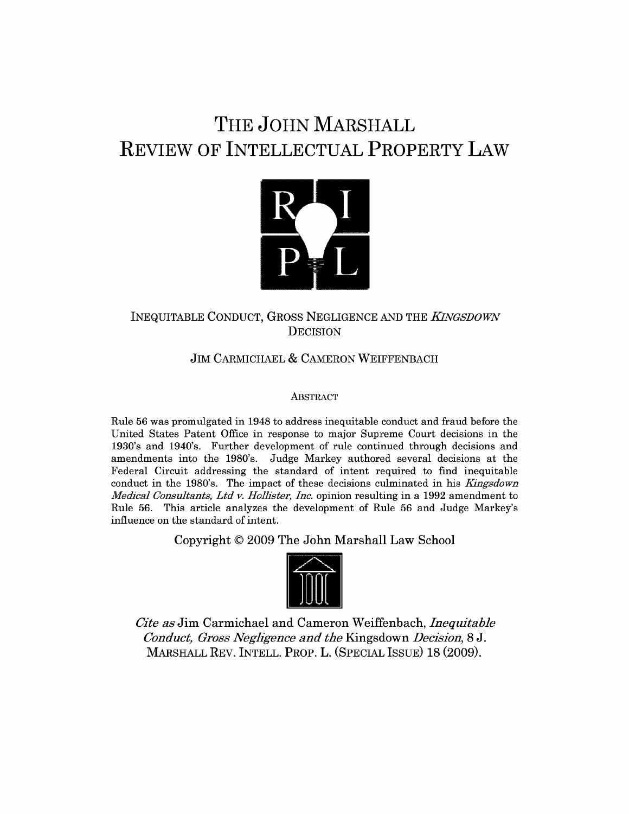# **THE JOHN MARSHALL REVIEW OF INTELLECTUAL PROPERTY LAW**



# INEQUITABLE CONDUCT, GROSS NEGLIGENCE AND THE *KNGSDOWN* **DECISION**

# JIM CARMICHAEL & CAMERON WEIFFENBACH

## **ABSTRACT**

Rule 56 was promulgated in 1948 to address inequitable conduct and fraud before the United States Patent Office in response to major Supreme Court decisions in the 1930's and 1940's. Further development of rule continued through decisions and amendments into the 1980's. Judge Markey authored several decisions at the Federal Circuit addressing the standard of intent required to find inequitable conduct in the 1980's. The impact of these decisions culminated in his *Kingsdown Medical Consultants, Ltd v. Holl'ster, Inc.* opinion resulting in a 1992 amendment to Rule 56. This article analyzes the development of Rule 56 and Judge Markey's influence on the standard of intent.

Copyright **© 2009** The John Marshall Law School



*Cite as* Jim Carmichael and Cameron Weiffenbach, *Inequitable Conduct, Gross Negligence and the* Kingsdown *Decision,* 8 J. MARSHALL REV. INTELL. PROP. L. (SPECIAL ISSUE) 18 (2009).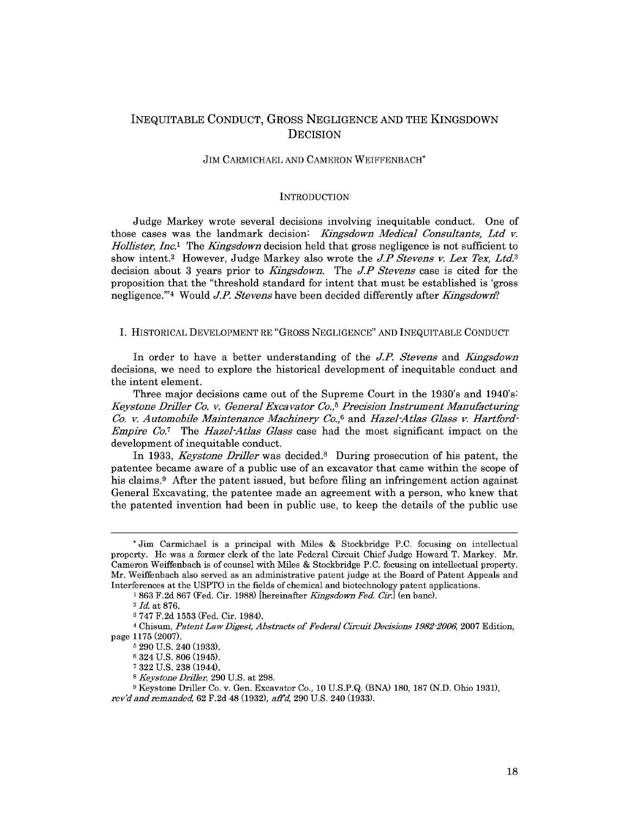## INEQUITABLE CONDUCT, GROSS NEGLIGENCE AND THE KINGSDOWN **DECISION**

#### JIM CARMICHAEL AND CAMERON WEIFFENBACH\*

#### **INTRODUCTION**

Judge Markey wrote several decisions involving inequitable conduct. One of those cases was the landmark decision: *Kiangsdown Medical Consultants, Ltd v. Hollister, Inc.*<sup>1</sup> The *Kingsdown* decision held that gross negligence is not sufficient to show intent.<sup>2</sup> However, Judge Markey also wrote the *J.P Stevens v. Lex Tex, Ltd.*<sup>3</sup> decision about 3 years prior to *Kiangsdown.* The *J.P Stevens* case is cited for the proposition that the "threshold standard for intent that must be established is 'gross negligence."<sup>4</sup> Would *J.P. Stevens* have been decided differently after *Kingsdown*?

#### I. HISTORICAL DEVELOPMENT RE "GROSS NEGLIGENCE" AND INEQUITABLE CONDUCT

In order to have a better understanding of the *JP. Stevens* and *ingsdown* decisions, we need to explore the historical development of inequitable conduct and the intent element.

Three major decisions came out of the Supreme Court in the 1930's and 1940's: *Keystone Driller Co. v. General Excavator Co.,5 Precision Instrument Manufacturing Co. v. Automobile Maintenance Machinery Co.,6* and *Hazel-Atlas Glass v. Hartford-Empire Co.7* The *Hazel-Atlas Glass* case had the most significant impact on the development of inequitable conduct.

In 1933, *Keystone Driller* was decided. 8 During prosecution of his patent, the patentee became aware of a public use of an excavator that came within the scope of his claims.<sup>9</sup> After the patent issued, but before filing an infringement action against General Excavating, the patentee made an agreement with a person, who knew that the patented invention had been in public use, to keep the details of the public use

**<sup>\*</sup>** Jim Carmichael is a principal with Miles & Stockbridge P.C. focusing on intellectual property. He was a former clerk of the late Federal Circuit Chief Judge Howard T. Markey. Mr. Cameron Weiffenbach is of counsel with Miles & Stockbridge P.C. focusing on intellectual property. Mr. Weiffenbach also served as an administrative patent judge at the Board of Patent Appeals and Interferences at the USPTO in the fields of chemical and biotechnology patent applications.

<sup>1</sup> 863 F.2d 867 (Fed. Cir. 1988) [hereinafter *Kingsdown Fed. Cir.]* (en banc).

<sup>2</sup> *Id.* at 876.

**<sup>3</sup>** 747 F.2d 1553 (Fed. Cir. 1984).

<sup>4</sup>Chisum, *Patent Law Digest, Abstracts of Federal Circuit Decisions 1982-2006,* **2007** Edition, page 1175 (2007).

**<sup>5</sup>** 290 U.S. 240 (1933).

**<sup>6</sup>** 324 U.S. 806 (1945).

**<sup>7</sup>** 322 U.S. 238 (1944).

**<sup>8</sup>** *Keystone Driller,* 290 U.S. at 298.

<sup>9</sup> Keystone Driller Co. v. Gen. Excavator Co., 10 U.S.P.Q. (BNA) 180, 187 (N.D. Ohio 1931), *rev'dandrmanded,* 62 F.2d 48 (1932), *afFd,* 290 U.S. 240 (1933).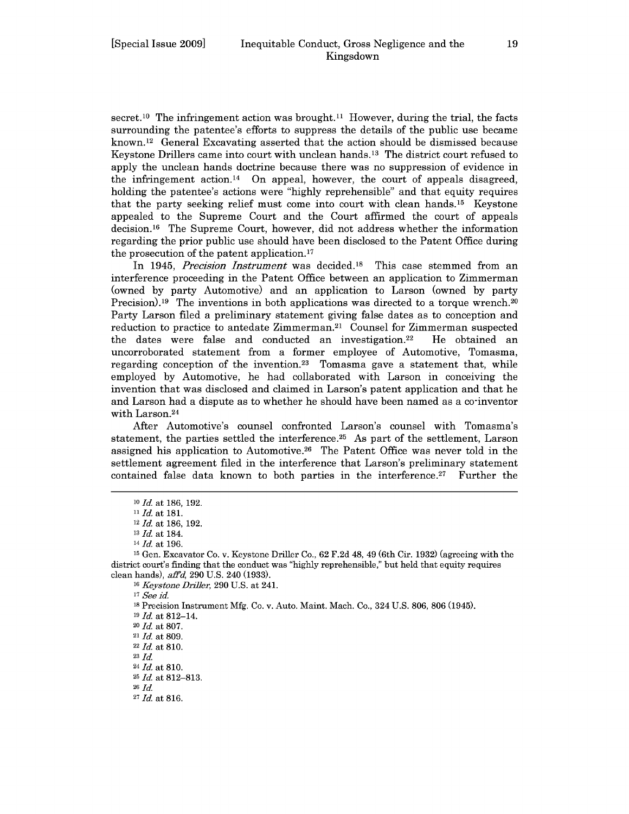secret.<sup>10</sup> The infringement action was brought.<sup>11</sup> However, during the trial, the facts surrounding the patentee's efforts to suppress the details of the public use became known. 12 General Excavating asserted that the action should be dismissed because Keystone Drillers came into court with unclean hands. 13 The district court refused to apply the unclean hands doctrine because there was no suppression of evidence in the infringement action.<sup>14</sup> On appeal, however, the court of appeals disagreed, holding the patentee's actions were "highly reprehensible" and that equity requires that the party seeking relief must come into court with clean hands.<sup>15</sup> Keystone appealed to the Supreme Court and the Court affirmed the court of appeals decision. 16 The Supreme Court, however, did not address whether the information regarding the prior public use should have been disclosed to the Patent Office during the prosecution of the patent application. <sup>17</sup>

In 1945, *Precision Instrument* was decided.18 This case stemmed from an interference proceeding in the Patent Office between an application to Zimmerman (owned by party Automotive) and an application to Larson (owned by party Precision).<sup>19</sup> The inventions in both applications was directed to a torque wrench.<sup>20</sup> Party Larson filed a preliminary statement giving false dates as to conception and reduction to practice to antedate Zimmerman. 21 Counsel for Zimmerman suspected the dates were false and conducted an investigation.<sup>22</sup> He obtained an uncorroborated statement from a former employee of Automotive, Tomasma, regarding conception of the invention.<sup>23</sup> Tomasma gave a statement that, while employed by Automotive, he had collaborated with Larson in conceiving the invention that was disclosed and claimed in Larson's patent application and that he and Larson had a dispute as to whether he should have been named as a co-inventor with Larson.<sup>24</sup>

After Automotive's counsel confronted Larson's counsel with Tomasma's statement, the parties settled the interference.<sup>25</sup> As part of the settlement, Larson assigned his application to Automotive.<sup>26</sup> The Patent Office was never told in the settlement agreement filed in the interference that Larson's preliminary statement contained false data known to both parties in the interference.<sup>27</sup> Further the

**<sup>17</sup>***See* id.

23 *Id.*

**<sup>10</sup>** *Id.* at **186, 192.**

<sup>11</sup>*Id.* at **181.**

<sup>12</sup>*Id.* at 186, 192.

<sup>13</sup> *Id.* at 184.

<sup>14</sup>*Id.* at **196.**

<sup>15</sup> Gen. Excavator Co. v. Keystone Driller Co., 62 F.2d 48, 49 (6th Cir. 1932) (agreeing with the district court's finding that the conduct was "highly reprehensible," but held that equity requires clean hands), *affd,* 290 U.S. 240 (1933).

<sup>16</sup>*Keystone Driller,* 290 U.S. at 241.

**<sup>18</sup>**Precision Instrument Mfg. Co. v. Auto. Maint. Mach. Co., 324 U.S. 806, 806 (1945).

<sup>19</sup> *Id.* at 812-14.

<sup>20</sup>*Id.* at 807.

<sup>21</sup>*Id.* at 809.

<sup>22</sup>*Id.* at 810.

<sup>24</sup>*Id.* at 810.

<sup>25</sup>*Id.* at 812-813.

**<sup>26</sup>** *Id.*

<sup>27</sup> *Id.* at 816.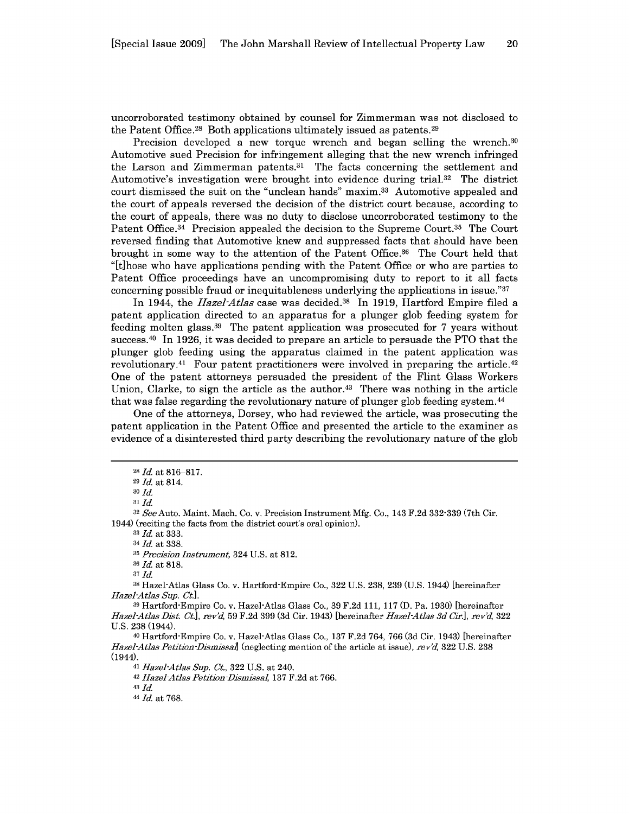uncorroborated testimony obtained by counsel for Zimmerman was not disclosed to the Patent Office.<sup>28</sup> Both applications ultimately issued as patents.<sup>29</sup>

Precision developed a new torque wrench and began selling the wrench.<sup>30</sup> Automotive sued Precision for infringement alleging that the new wrench infringed the Larson and Zimmerman patents.<sup>31</sup> The facts concerning the settlement and Automotive's investigation were brought into evidence during trial.32 The district court dismissed the suit on the "unclean hands" maxim. 33 Automotive appealed and the court of appeals reversed the decision of the district court because, according to the court of appeals, there was no duty to disclose uncorroborated testimony to the Patent Office.<sup>34</sup> Precision appealed the decision to the Supreme Court.<sup>35</sup> The Court reversed finding that Automotive knew and suppressed facts that should have been brought in some way to the attention of the Patent Office. 36 The Court held that "It]hose who have applications pending with the Patent Office or who are parties to Patent Office proceedings have an uncompromising duty to report to it all facts concerning possible fraud or inequitableness underlying the applications in issue." $37$ 

In 1944, the *Hazel-Atlas* case was decided.38 In 1919, Hartford Empire filed a patent application directed to an apparatus for a plunger glob feeding system for feeding molten glass. 39 The patent application was prosecuted for 7 years without success. 40 In 1926, it was decided to prepare an article to persuade the PTO that the plunger glob feeding using the apparatus claimed in the patent application was revolutionary.<sup>41</sup> Four patent practitioners were involved in preparing the article.<sup>42</sup> One of the patent attorneys persuaded the president of the Flint Glass Workers Union, Clarke, to sign the article as the author.43 There was nothing in the article that was false regarding the revolutionary nature of plunger glob feeding system. <sup>44</sup>

One of the attorneys, Dorsey, who had reviewed the article, was prosecuting the patent application in the Patent Office and presented the article to the examiner as evidence of a disinterested third party describing the revolutionary nature of the glob

**33** *Id.* at 333.

<sup>34</sup>*Id.* at 338.

**35** *Precision Instrument,* 324 U.S. at 812.

**<sup>36</sup>***Id.* at 818.

**37 Id.**

**<sup>38</sup>**Hazel-Atlas Glass Co. v. Hartford-Empire Co., 322 U.S. 238, 239 (U.S. 1944) [hereinafter *Hazel-Atlas Sup. Ct.].*

<sup>40</sup>Hartford-Empire Co. v. Hazel-Atlas Glass Co., 137 F.2d 764, 766 (3d Cir. 1943) [hereinafter *Hazel-Atlas Petition-Dismissal]* (neglecting mention of the article at issue), *revd,* 322 U.S. 238 (1944).

41 *Hazel-Atlas Sup. Ct.,* 322 U.S. at 240.

<sup>42</sup>*Hazel-Atlas Petition -Dismissal,* 137 F.2d at 766.

**43** *Id.*

44 *Id.* at 768.

*<sup>28</sup>Id.* at 816-817.

**<sup>29</sup>***Id.* at 814. *<sup>3</sup> <sup>0</sup>***Id.**

**<sup>31</sup> Id.**

**<sup>32</sup>***See* Auto. Maint. Mach. Co. v. Precision Instrument Mfg. Co., 143 F.2d 332-339 (7th Cir. 1944) (reciting the facts from the district court's oral opinion).

**<sup>39</sup>**Hartford-Empire Co. v. Hazel-Atlas Glass Co., 39 F.2d 111, 117 (D. Pa. 1930) [hereinafter *Hazel-Atlas Dist. Ct.], revd,* 59 F.2d 399 (3d Cir. 1943) [hereinafter *Hazel-Atlas 3d Cir.], rev'd,* 322 U.S. 238 (1944).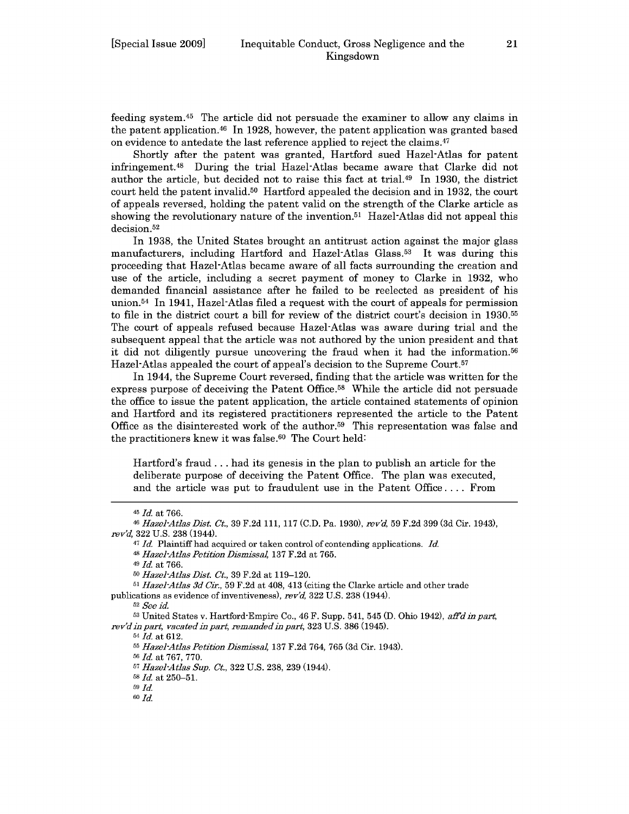feeding system. 45 The article did not persuade the examiner to allow any claims in the patent application.46 In 1928, however, the patent application was granted based on evidence to antedate the last reference applied to reject the claims.<sup>47</sup>

Shortly after the patent was granted, Hartford sued Hazel-Atlas for patent infringement. 48 During the trial Hazel-Atlas became aware that Clarke did not author the article, but decided not to raise this fact at trial.<sup>49</sup> In 1930, the district court held the patent invalid.<sup>50</sup> Hartford appealed the decision and in 1932, the court of appeals reversed, holding the patent valid on the strength of the Clarke article as showing the revolutionary nature of the invention.<sup>51</sup> Hazel-Atlas did not appeal this decision.<sup>52</sup>

In 1938, the United States brought an antitrust action against the major glass manufacturers, including Hartford and Hazel-Atlas Glass.<sup>53</sup> It was during this proceeding that Hazel-Atlas became aware of all facts surrounding the creation and use of the article, including a secret payment of money to Clarke in 1932, who demanded financial assistance after he failed to be reelected as president of his union.<sup>54</sup> In 1941, Hazel-Atlas filed a request with the court of appeals for permission to file in the district court a bill for review of the district court's decision in  $1930^{55}$ The court of appeals refused because Hazel-Atlas was aware during trial and the subsequent appeal that the article was not authored by the union president and that it did not diligently pursue uncovering the fraud when it had the information.<sup>56</sup> Hazel-Atlas appealed the court of appeal's decision to the Supreme Court.<sup>57</sup>

In 1944, the Supreme Court reversed, finding that the article was written for the express purpose of deceiving the Patent Office.<sup>58</sup> While the article did not persuade the office to issue the patent application, the article contained statements of opinion and Hartford and its registered practitioners represented the article to the Patent Office as the disinterested work of the author.<sup>59</sup> This representation was false and the practitioners knew it was false. $60$  The Court held:

Hartford's fraud **...** had its genesis in the plan to publish an article for the deliberate purpose of deceiving the Patent Office. The plan was executed, and the article was put to fraudulent use in the Patent Office .... From

*49 Id.* at 766.

- *<sup>50</sup>Hazel-Atlas Dist Ct.,* 39 F.2d at 119-120.
- *<sup>51</sup>Hazel-Atlas 3d Cir.,* 59 F.2d at 408, 413 (citing the Clarke article and other trade publications as evidence of inventiveness), *rev'd,* 322 U.S. 238 (1944).

*<sup>52</sup>See id.*

**<sup>53</sup>**United States v. Hartford-Empire Co., 46 F. Supp. 541, 545 (D. Ohio 1942), *aftd in part, rev'd in part, vacated in part, remanded in part,* 323 U.S. 386 (1945).

*<sup>54</sup>Id.* at 612.

*<sup>55</sup>Hazel-Atlas Petition Dismissal,* 137 F.2d 764, 765 (3d Cir. 1943).

**<sup>56</sup>***Id.* at 767, 770.

*<sup>57</sup>Hazel-Atlas Sup. Ct.,* 322 U.S. 238, 239 (1944). <sup>58</sup>*Id.* at 250-51.

*<sup>59</sup>Id.*

*60 ld*

*<sup>45</sup> Id.* at 766.

*<sup>46</sup>Hazel-Atlas Dist. Ct.,* 39 F.2d 111, 117 (C.D. Pa. 1930), *rev'd,* 59 F.2d 399 (3d Cir. 1943), *rev'd,* 322 U.S. 238 (1944).

<sup>47</sup>*Id.* Plaintiff had acquired or taken control of contending applications. *Id. 48 Hazel-Atlas Petition Dismissal,* 137 F.2d at 765.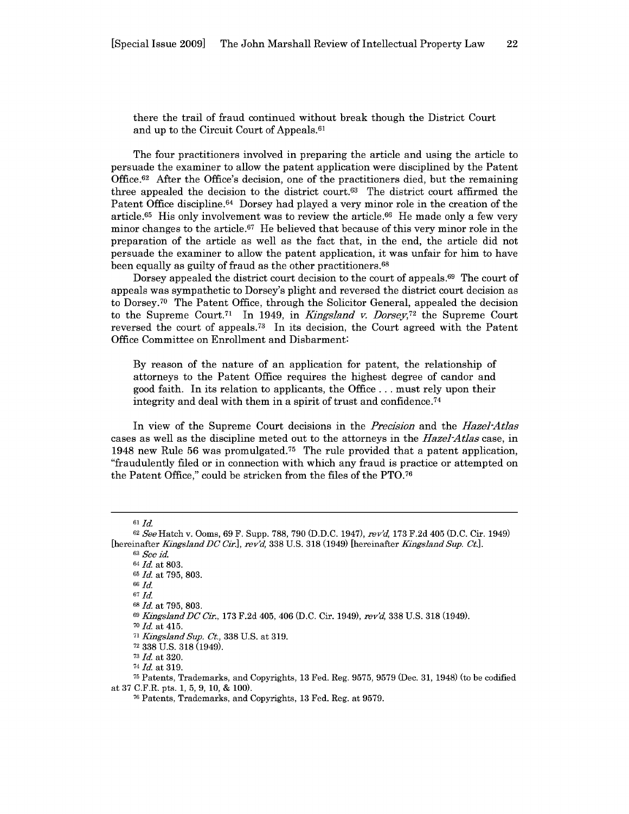there the trail of fraud continued without break though the District Court and up to the Circuit Court of Appeals.<sup>61</sup>

The four practitioners involved in preparing the article and using the article to persuade the examiner to allow the patent application were disciplined by the Patent Office.<sup>62</sup> After the Office's decision, one of the practitioners died, but the remaining three appealed the decision to the district court. $63$  The district court affirmed the Patent Office discipline.<sup>64</sup> Dorsey had played a very minor role in the creation of the article.<sup>65</sup> His only involvement was to review the article.<sup>66</sup> He made only a few very minor changes to the article. $67$  He believed that because of this very minor role in the preparation of the article as well as the fact that, in the end, the article did not persuade the examiner to allow the patent application, it was unfair for him to have been equally as guilty of fraud as the other practitioners.<sup>68</sup>

Dorsey appealed the district court decision to the court of appeals.<sup>69</sup> The court of appeals was sympathetic to Dorsey's plight and reversed the district court decision as to Dorsey.<sup>70</sup> The Patent Office, through the Solicitor General, appealed the decision to the Supreme Court.<sup>71</sup> In 1949, in *Kingsland v. Dorsey*,<sup>72</sup> the Supreme Court reversed the court of appeals.<sup>73</sup> In its decision, the Court agreed with the Patent Office Committee on Enrollment and Disbarment:

By reason of the nature of an application for patent, the relationship of attorneys to the Patent Office requires the highest degree of candor and good faith. In its relation to applicants, the Office ... must rely upon their integrity and deal with them in a spirit of trust and confidence.74

In view of the Supreme Court decisions in the *Precision* and the *Hazel-Atlas* cases as well as the discipline meted out to the attorneys in the *Hazel-Atlas* case, in 1948 new Rule 56 was promulgated.<sup>75</sup> The rule provided that a patent application, "fraudulently filed or in connection with which any fraud is practice or attempted on the Patent Office," could be stricken from the files of the PTO.76

<sup>70</sup>*Id.* at 415.

<sup>61</sup> *Id*

<sup>62</sup>*See* Hatch v. Ooms, 69 F. Supp. 788, 790 (D.D.C. 1947), *rev'd,* 173 F.2d 405 (D.C. Cir. 1949) [hereinafter *Kingsland DC Cir.*], rev'd, 338 U.S. 318 (1949) [hereinafter *Kingsland Sup. Ct.*].

<sup>63</sup>*See id.*

<sup>64</sup>*Id.* at 803.

<sup>65</sup>*Id.* at 795, 803.

<sup>66</sup> *Id.*

*<sup>67</sup>Id.*

**<sup>68</sup>***Id.* at 795, 803.

<sup>69</sup>*KingslandDC Cir.,* 173 F.2d 405, 406 (D.C. Cir. 1949), *rev'd,* 338 U.S. 318 (1949).

<sup>71</sup>*KingslandSup. Ct.,* 338 U.S. at 319.

<sup>72</sup>338 U.S. 318 (1949).

*<sup>73</sup>Id.* at 320.

*<sup>74</sup> Id.* at 319.

**<sup>75</sup>**Patents, Trademarks, and Copyrights, 13 Fed. Reg. 9575, 9579 (Dec. 31, 1948) (to be codified at 37 C.F.R. pts. 1, 5, 9, 10, & **100).**

<sup>76</sup> Patents, Trademarks, and Copyrights, 13 Fed. Reg. at 9579.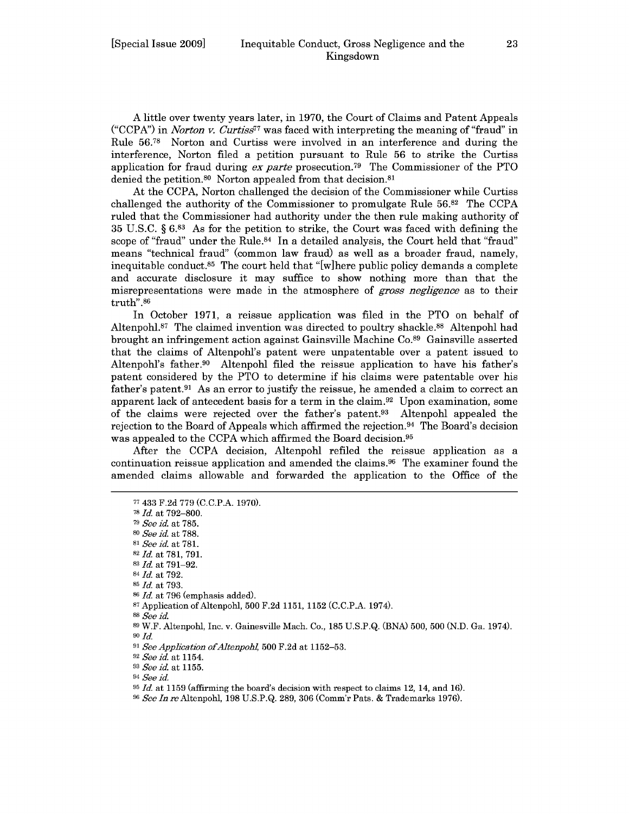A little over twenty years later, in 1970, the Court of Claims and Patent Appeals ("CCPA") in *Norton v. CurtiS77* was faced with interpreting the meaning of "fraud" in Rule 56.78 Norton and Curtiss were involved in an interference and during the interference, Norton filed a petition pursuant to Rule 56 to strike the Curtiss application for fraud during *ex parte* prosecution.<sup>79</sup> The Commissioner of the PTO denied the petition.<sup>80</sup> Norton appealed from that decision.<sup>81</sup>

At the CCPA, Norton challenged the decision of the Commissioner while Curtiss challenged the authority of the Commissioner to promulgate Rule 56.82 The CCPA ruled that the Commissioner had authority under the then rule making authority of 35 U.S.C. § 6.83 As for the petition to strike, the Court was faced with defining the scope of "fraud" under the Rule. $84$  In a detailed analysis, the Court held that "fraud" means "technical fraud" (common law fraud) as well as a broader fraud, namely, inequitable conduct.<sup>85</sup> The court held that "[w]here public policy demands a complete and accurate disclosure it may suffice to show nothing more than that the misrepresentations were made in the atmosphere of *gross negligence* as to their truth".86

In October 1971, a reissue application was filed in the PTO on behalf of Altenpohl.<sup>87</sup> The claimed invention was directed to poultry shackle.<sup>88</sup> Altenpohl had brought an infringement action against Gainsville Machine Co.<sup>89</sup> Gainsville asserted that the claims of Altenpohl's patent were unpatentable over a patent issued to Altenpohl's father.<sup>90</sup> Altenpohl filed the reissue application to have his father's patent considered by the PTO to determine if his claims were patentable over his father's patent.<sup>91</sup> As an error to justify the reissue, he amended a claim to correct an apparent lack of antecedent basis for a term in the claim. 92 Upon examination, some of the claims were rejected over the father's patent.93 Altenpohl appealed the rejection to the Board of Appeals which affirmed the rejection. 94 The Board's decision was appealed to the CCPA which affirmed the Board decision.<sup>95</sup>

After the CCPA decision, Altenpohl refiled the reissue application as a continuation reissue application and amended the claims. 96 The examiner found the amended claims allowable and forwarded the application to the Office of the

- <sup>85</sup>*Id.* at 793.
- <sup>86</sup>*Id.* at 796 (emphasis added).

<sup>88</sup>*See id.*

<sup>92</sup>*See id.* at 1154.

*<sup>93</sup>See id.* at 1155.

*94 See* id.

**<sup>77</sup>**433 **F.2d** 779 **(C.C.P.A.** 1970).

**<sup>78</sup>***Id.* at 792-800.

**<sup>79</sup>***See id.* at 785.

**<sup>80</sup>***See id.* at 788.

**<sup>81</sup>** *See id.* at 781.

**<sup>82</sup>***Id.* at 781, 791. <sup>83</sup>*Id.* at 791-92.

<sup>84</sup>*Id.* at 792.

<sup>87</sup> Application of Altenpohl, 500 F.2d 1151, 1152 (C.C.P.A. 1974).

<sup>89</sup> W.F. Altenpohl, Inc. v. Gainesville Mach. Co., 185 U.S.P.Q. (BNA) 500, 500 (N.D. Ga. 1974). *90 Id.*

<sup>91</sup>*See Application ofAltenpol,* 500 F.2d at 1152-53.

<sup>95</sup>*Id.* at 1159 (affirming the board's decision with respect to claims 12, 14, and **16).**

**<sup>96</sup>** *See In* reAltenpohl, 198 U.S.P.Q. 289, 306 (Comm'r Pats. & Trademarks 1976).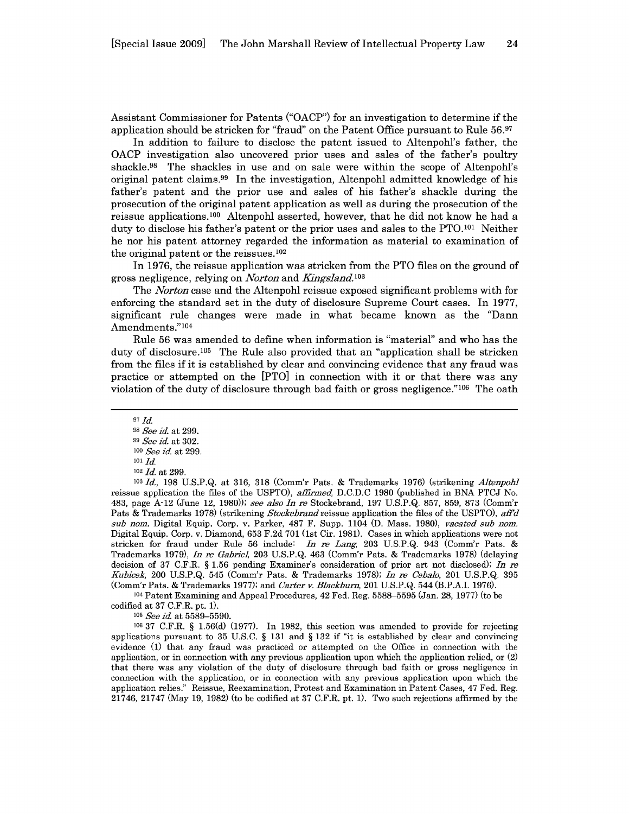Assistant Commissioner for Patents ("OACP") for an investigation to determine if the application should be stricken for "fraud" on the Patent Office pursuant to Rule **56.97**

In addition to failure to disclose the patent issued to Altenpohl's father, the OACP investigation also uncovered prior uses and sales of the father's poultry shackle.<sup>98</sup> The shackles in use and on sale were within the scope of Altenpohl's original patent claims. 99 In the investigation, Altenpohl admitted knowledge of his father's patent and the prior use and sales of his father's shackle during the prosecution of the original patent application as well as during the prosecution of the reissue applications.100 Altenpohl asserted, however, that he did not know he had a duty to disclose his father's patent or the prior uses and sales to the PTO.101 Neither he nor his patent attorney regarded the information as material to examination of the original patent or the reissues. <sup>102</sup>

In 1976, the reissue application was stricken from the PTO files on the ground of gross negligence, relying on *Norton* and *Ungsland.10 <sup>3</sup>*

The *Norton* case and the Altenpohl reissue exposed significant problems with for enforcing the standard set in the duty of disclosure Supreme Court cases. In **1977,** significant rule changes were made in what became known as the "Dann Amendments."104

Rule **56** was amended to define when information is "material" and who has the duty of disclosure.<sup>105</sup> The Rule also provided that an "application shall be stricken from the files if it is established **by** clear and convincing evidence that any fraud was practice or attempted on the [PTO] in connection with it or that there was any violation of the duty of disclosure through bad faith or gross negligence." $106$  The oath

**<sup>97</sup>***Id.*

**103** *Id.,* 198 U.S.P.Q. at 316, 318 (Comm'r Pats. & Trademarks 1976) (strikening *Altenpoh* reissue application the files of the USPTO), *affirmed,* D.C.D.C 1980 (published in BNA PTCJ No. 483, page A-12 (June 12, **1980));** see *also* In re Stockebrand, 197 **U.S.P.Q.** 857, 859, 873 (Comm'r Pats & Trademarks 1978) (strikening *Stockebrand* reissue application the files of the USPTO), *afid sub nom.* Digital Equip. Corp. v. Parker, 487 F. Supp. 1104 (D. Mass. 1980), *vacated sub nom.* Digital Equip. Corp. v. Diamond, 653 F.2d 701 (1st Cir. 1981). Cases in which applications were not stricken for fraud under Rule 56 include: *In re Lang,* 203 U.S.P.Q. 943 (Comm'r Pats. & Trademarks 1979), *In re Gabriel,* 203 U.S.P.Q. 463 (Comm'r Pats. & Trademarks 1978) (delaying decision of 37 C.F.R. § 1.56 pending Examiner's consideration of prior art not disclosed); *In re Kubicek,* 200 U.S.P.Q. 545 (Comm'r Pats. & Trademarks 1978); *In re Cebalo,* 201 U.S.P.Q. 395 (Comm'r Pats. & Trademarks 1977); and *Carter v. Blackburn,* 201 U.S.P.Q. 544 (B.P.A.I. 1976).

<sup>104</sup>Patent Examining and Appeal Procedures, 42 Fed. Reg. 5588-5595 (Jan. 28, 1977) (to be codified at 37 C.F.R. pt. 1).

**<sup>105</sup>***See* id. at 5589-5590.

**106** 37 C.F.R. § 1.56(d) (1977). In 1982, this section was amended to provide for rejecting applications pursuant to 35 U.S.C. § 131 and § 132 if "it is established by clear and convincing evidence (1) that any fraud was practiced or attempted on the Office in connection with the application, or in connection with any previous application upon which the application relied, or (2) that there was any violation of the duty of disclosure through bad faith or gross negligence in connection with the application, or in connection with any previous application upon which the application relies." Reissue, Reexamination, Protest and Examination in Patent Cases, 47 Fed. Reg. 21746, 21747 (May 19, 1982) (to be codified at 37 C.F.R. pt. 1). Two such rejections affirmed by the

**<sup>98</sup>***See* id. at 299.

**<sup>99</sup>** *See id.* at 302. <sup>100</sup>*See* id. at 299.

**<sup>101</sup> Id.**

<sup>102</sup>*Id.* at 299.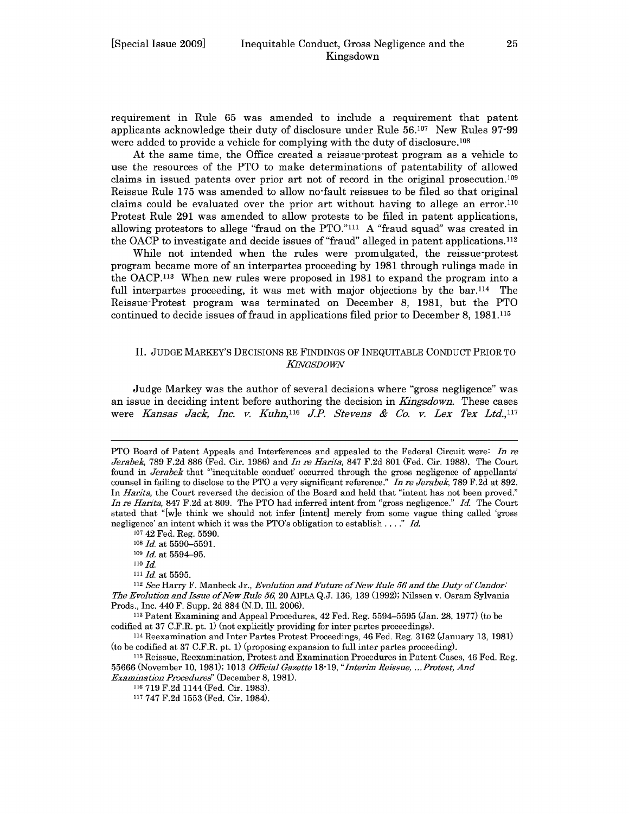requirement in Rule 65 was amended to include a requirement that patent applicants acknowledge their duty of disclosure under Rule 56.107 New Rules 97-99 were added to provide a vehicle for complying with the duty of disclosure.<sup>108</sup>

At the same time, the Office created a reissue-protest program as a vehicle to use the resources of the PTO to make determinations of patentability of allowed claims in issued patents over prior art not of record in the original prosecution.<sup>109</sup> Reissue Rule 175 was amended to allow no-fault reissues to be filed so that original claims could be evaluated over the prior art without having to allege an error.<sup>110</sup> Protest Rule 291 was amended to allow protests to be filed in patent applications, allowing protestors to allege "fraud on the PTO." $^{111}$  A "fraud squad" was created in the OACP to investigate and decide issues of "fraud" alleged in patent applications.<sup>112</sup>

While not intended when the rules were promulgated, the reissue-protest program became more of an interpartes proceeding by 1981 through rulings made in the OACP.<sup>113</sup> When new rules were proposed in 1981 to expand the program into a full interpartes proceeding, it was met with major objections by the bar.<sup>114</sup> The Reissue-Protest program was terminated on December 8, 1981, but the PTO continued to decide issues of fraud in applications filed prior to December 8, 1981.115

### II. JUDGE MARKEY'S DECISIONS RE FINDINGS OF INEQUITABLE CONDUCT PRIOR TO *KINGSDOWN*

Judge Markey was the author of several decisions where "gross negligence" was an issue in deciding intent before authoring the decision in *Kingsdown*. These cases were *Kansas Jack, Inc. v. Kuhn,116 JP. Stevens & Co. v. Lex Tex Ltd.,117*

**<sup>107</sup>**42 Fed. Reg. 5590.

**<sup>109</sup>***Id.* at 5594-95.

<sup>111</sup>*Id.* at 5595.

<sup>112</sup>*See* Harry F. Manbeck Jr., *Evolution and Future ofNew Rule 56 and the Duty of Candor: The Evolution and Issue of New Rule 56,* 20 AIPLA Q.J. 136, 139 (1992); Nilssen v. Osram Sylvania Prods., Inc. 440 F. Supp. 2d 884 (N.D. Ill. 2006).

<sup>113</sup>Patent Examining and Appeal Procedures, 42 Fed. Reg. 5594-5595 (Jan. 28, 1977) (to be codified at 37 C.F.R. pt. 1) (not explicitly providing for inter partes proceedings).

<sup>114</sup>Reexamination and Inter Partes Protest Proceedings, 46 Fed. Reg. 3162 (January 13, 1981) (to be codified at 37 C.F.R. pt. 1) (proposing expansion to full inter partes proceeding).

<sup>115</sup>Reissue, Reexamination, Protest and Examination Procedures in Patent Cases, 46 Fed. Reg. 55666 (November 10, 1981); 1013 *Official Gazette 18-19, "Interim Reissue, ... Protest, And Examination Procedure'* (December 8, 1981).

<sup>116</sup>719 F.2d 1144 (Fed. Cir. 1983).

PTO Board of Patent Appeals and Interferences and appealed to the Federal Circuit were: *In re Jerabek,* 789 F.2d 886 (Fed. Cir. 1986) and *In re Narita,* 847 F.2d 801 (Fed. Cir. 1988). The Court found in *Jerabek* that "inequitable conduct' occurred through the gross negligence of appellants' counsel in failing to disclose to the PTO a very significant reference." *In re Jerabek,* 789 F.2d at 892. In *Narita,* the Court reversed the decision of the Board and held that "intent has not been proved." *In re Harita,* 847 F.2d at 809. The PTO had inferred intent from "gross negligence." *Id.* The Court stated that "[w]e think we should not infer [intent] merely from some vague thing called 'gross negligence' an intent which it was the PTO's obligation to establish *... ." Id.*

**<sup>108</sup>***Id.* at 5590-5591.

*<sup>110</sup>Id.*

<sup>117</sup> 747 F.2d 1553 (Fed. Cir. 1984).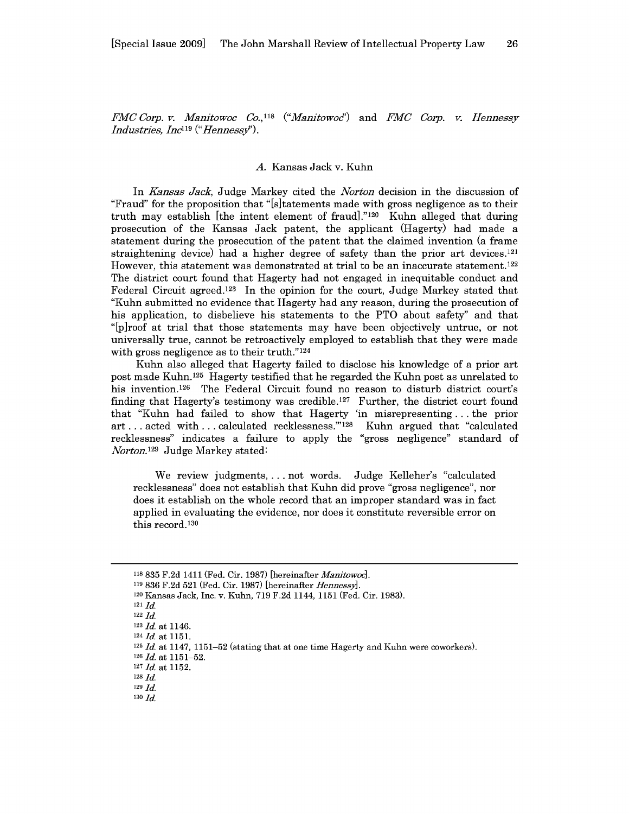*FMC Corp. v. Manitowoc Co., <sup>118</sup>("Manitowod')* and *FMC Corp. v. Hennessy Industries, Inc*<sup>119</sup> ("*Hennessy*").

#### *A.* Kansas Jack v. Kuhn

In *Kansas Jack,* Judge Markey cited the *Norton* decision in the discussion of "Fraud" for the proposition that "[s]tatements made with gross negligence as to their truth may establish [the intent element of fraud]." <sup>12</sup>0 Kuhn alleged that during prosecution of the Kansas Jack patent, the applicant (Hagerty) had made a statement during the prosecution of the patent that the claimed invention (a frame straightening device) had a higher degree of safety than the prior art devices.<sup>121</sup> However, this statement was demonstrated at trial to be an inaccurate statement.<sup>122</sup> The district court found that Hagerty had not engaged in inequitable conduct and Federal Circuit agreed.<sup>123</sup> In the opinion for the court, Judge Markey stated that "Kuhn submitted no evidence that Hagerty had any reason, during the prosecution of his application, to disbelieve his statements to the PTO about safety" and that "[p]roof at trial that those statements may have been objectively untrue, or not universally true, cannot be retroactively employed to establish that they were made with gross negligence as to their truth." $124$ 

Kuhn also alleged that Hagerty failed to disclose his knowledge of a prior art post made Kuhn. 125 Hagerty testified that he regarded the Kuhn post as unrelated to his invention.<sup>126</sup> The Federal Circuit found no reason to disturb district court's finding that Hagerty's testimony was credible. 127 Further, the district court found that "Kuhn had failed to show that Hagerty 'in misrepresenting **...** the prior art... acted with... calculated recklessness."<sup>128</sup> Kuhn argued that "calculated recklessness" indicates a failure to apply the "gross negligence" standard of *Norton.129* Judge Markey stated:

We review judgments, ... not words. Judge Kelleher's "calculated recklessness" does not establish that Kuhn did prove "gross negligence", nor does it establish on the whole record that an improper standard was in fact applied in evaluating the evidence, nor does it constitute reversible error on this record. <sup>130</sup>

119 836 F.2d 521 (Fed. Cir. 1987) [hereinafter *Hennessy].*

<sup>121</sup>**Id.**

<sup>118</sup>835 F.2d 1411 (Fed. Cir. 1987) [hereinafter *Manitowoc].*

<sup>120</sup> Kansas Jack, Inc. v. Kuhn, 719 F.2d 1144, 1151 (Fed. Cir. 1983).

<sup>122</sup> **Id.**

 $123$  *Id.* at 1146.

<sup>124</sup>*Id.* at 1151.

<sup>125</sup>*Id.* at 1147, 1151-52 (stating that at one time Hagerty and Kuhn were coworkers).

 $126$  *Id.* at  $1151 - 52$ .

<sup>127</sup>*Id.* at 1152.

<sup>128</sup> **Id.**

<sup>129</sup> **Id.**

**<sup>130</sup> Id.**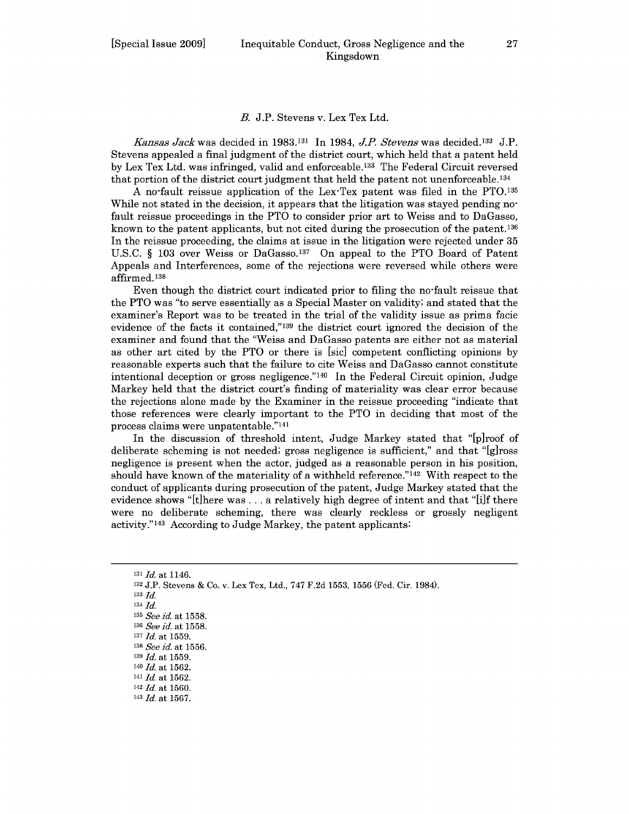#### *B.* J.P. Stevens v. Lex Tex Ltd.

*Kansas Jack* was decided in 1983.'3' In 1984, *JP. Stevens* was decided. 132 J.P. Stevens appealed a final judgment of the district court, which held that a patent held by Lex Tex Ltd. was infringed, valid and enforceable. 133 The Federal Circuit reversed that portion of the district court judgment that held the patent not unenforceable.<sup>134</sup>

A no-fault reissue application of the Lex-Tex patent was filed in the **PTO. <sup>135</sup>** While not stated in the decision, it appears that the litigation was stayed pending nofault reissue proceedings in the PTO to consider prior art to Weiss and to DaGasso, known to the patent applicants, but not cited during the prosecution of the patent. <sup>136</sup> In the reissue proceeding, the claims at issue in the litigation were rejected under 35 U.S.C. § 103 over Weiss or DaGasso.<sup>137</sup> On appeal to the PTO Board of Patent Appeals and Interferences, some of the rejections were reversed while others were affirmed. <sup>138</sup>

Even though the district court indicated prior to filing the no-fault reissue that the PTO was "to serve essentially as a Special Master on validity; and stated that the examiner's Report was to be treated in the trial of the validity issue as prima facie evidence of the facts it contained,"'139 the district court ignored the decision of the examiner and found that the "Weiss and DaGasso patents are either not as material as other art cited by the PTO or there is [sic] competent conflicting opinions by reasonable experts such that the failure to cite Weiss and DaGasso cannot constitute intentional deception or gross negligence."'140 In the Federal Circuit opinion, Judge Markey held that the district court's finding of materiality was clear error because the rejections alone made by the Examiner in the reissue proceeding "indicate that those references were clearly important to the PTO in deciding that most of the process claims were unpatentable."<sup>141</sup>

In the discussion of threshold intent, Judge Markey stated that "[p]roof of deliberate scheming is not needed; gross negligence is sufficient," and that "[g]ross negligence is present when the actor, judged as a reasonable person in his position, should have known of the materiality of a withheld reference." $142$  With respect to the conduct of applicants during prosecution of the patent, Judge Markey stated that the evidence shows "[t]here was **...** a relatively high degree of intent and that "[i]f there were no deliberate scheming, there was clearly reckless or grossly negligent activity."'143 According to Judge Markey, the patent applicants:

133 *Id.*

- <sup>139</sup>*Id.* at 1559.
- <sup>140</sup>*Id.* at 1562.
- *141 Id.* at 1562.
- <sup>142</sup>*Id.* at 1560.

**<sup>131</sup>***Id.* at 1146.

<sup>132</sup> J.P. Stevens & Co. v. Lex Tex, Ltd., 747 F.2d 1553, 1556 (Fed. Cir. 1984).

<sup>134</sup> *Id.*

*<sup>135</sup> See id.* at 1558.

*<sup>136</sup>See id.* at 1558.

*<sup>137</sup>Id.* at 1559.

*<sup>138</sup>See id.* at 1556.

<sup>143</sup> *Id.* at 1567.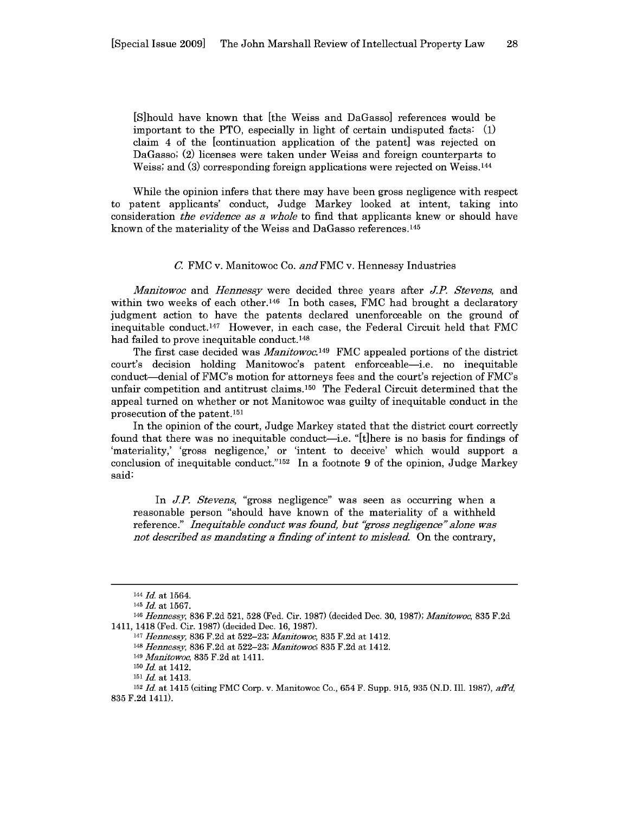[S]hould have known that [the Weiss and DaGasso] references would be important to the PTO, especially in light of certain undisputed facts: **(1)** claim 4 of the [continuation application of the patent] was rejected on DaGasso; (2) licenses were taken under Weiss and foreign counterparts to Weiss; and (3) corresponding foreign applications were rejected on Weiss.<sup>144</sup>

While the opinion infers that there may have been gross negligence with respect to patent applicants' conduct, Judge Markey looked at intent, taking into consideration *the evidence as a whole* to find that applicants knew or should have known of the materiality of the Weiss and DaGasso references. <sup>145</sup>

#### *C.* FMC v. Manitowoc Co. *and FMC* v. Hennessy Industries

*Manitowoc* and *Hennessy* were decided three years after *J.P Stevens,* and within two weeks of each other.<sup>146</sup> In both cases, FMC had brought a declaratory judgment action to have the patents declared unenforceable on the ground of inequitable conduct.<sup>147</sup> However, in each case, the Federal Circuit held that FMC had failed to prove inequitable conduct.<sup>148</sup>

The first case decided was *Manitowoc.149* FMC appealed portions of the district court's decision holding Manitowoc's patent enforceable-i.e. no inequitable conduct-denial of FMC's motion for attorneys fees and the court's rejection of FMC's unfair competition and antitrust claims. 150 The Federal Circuit determined that the appeal turned on whether or not Manitowoc was guilty of inequitable conduct in the prosecution of the patent. <sup>151</sup>

In the opinion of the court, Judge Markey stated that the district court correctly found that there was no inequitable conduct—i.e. "[t]here is no basis for findings of 'materiality,' 'gross negligence,' or 'intent to deceive' which would support a conclusion of inequitable conduct."<sup>152</sup> In a footnote 9 of the opinion, Judge Markey said:

In **J.P.** *Stevens,* "gross negligence" was seen as occurring when a reasonable person "should have known of the materiality of a withheld reference." *Inequitable conduct was found, but "gross negligence" alone was not described as mandating a finding of-intent to mislead.* On the contrary,

<sup>144</sup> *Id.* at 1564.

<sup>145</sup>*Id.* at 1567.

*<sup>146</sup> Hennessy,* 836 F.2d 521, 528 (Fed. Cir. 1987) (decided Dec. 30, 1987); *Mantowoc,* 835 F.2d 1411, 1418 (Fed. Cir. 1987) (decided Dec. 16, 1987).

<sup>147</sup>*Hennessy,* 836 F.2d at 522-23; *Manitowoc,* 835 F.2d at 1412.

<sup>148</sup>*Hennessy,* 836 F.2d at 522-23; *Manitowoc;* 835 F.2d at 1412.

<sup>149</sup>*Manitowoc,* 835 F.2d at 1411.

**<sup>150</sup>***Id.* at 1412.

<sup>151</sup>*Id.* at 1413.

<sup>152</sup>*Id.* at 1415 (citing FMC Corp. v. Manitowoc Co., 654 F. Supp. 915, 935 (N.D. Ill. 1987), *affd,* 835 F.2d 1411).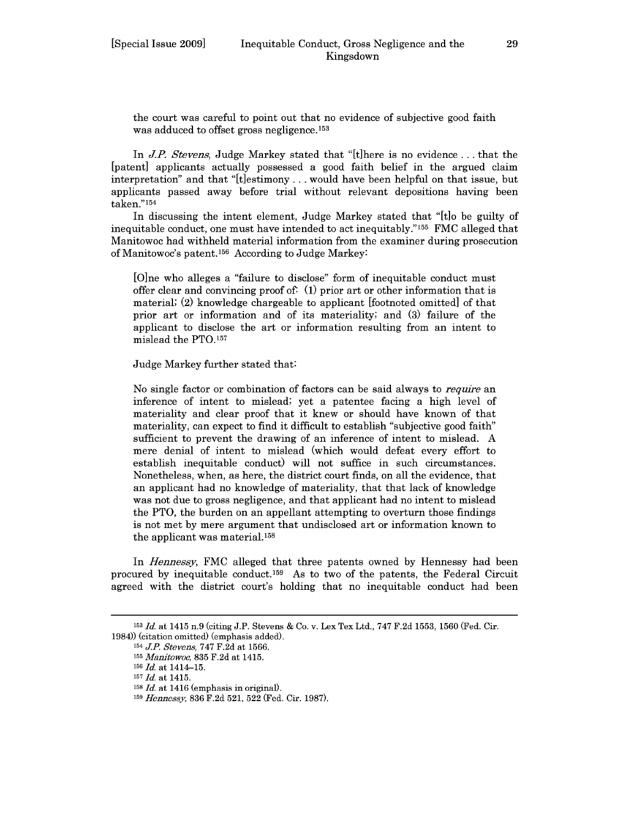In *J.P. Stevens,* Judge Markey stated that "[t]here is no evidence.., that the [patent] applicants actually possessed a good faith belief in the argued claim interpretation" and that "[t]estimony... would have been helpful on that issue, but applicants passed away before trial without relevant depositions having been taken."154

In discussing the intent element, Judge Markey stated that "[t]o be guilty of inequitable conduct, one must have intended to act inequitably." 155 FMC alleged that Manitowoc had withheld material information from the examiner during prosecution of Manitowoc's patent. 156 According to Judge Markey:

[O]ne who alleges a "failure to disclose" form of inequitable conduct must offer clear and convincing proof of: (1) prior art or other information that is material; (2) knowledge chargeable to applicant [footnoted omitted] of that prior art or information and of its materiality; and (3) failure of the applicant to disclose the art or information resulting from an intent to mislead the PTO.157

Judge Markey further stated that:

No single factor or combination of factors can be said always to *require* an inference of intent to mislead; yet a patentee facing a high level of materiality and clear proof that it knew or should have known of that materiality, can expect to find it difficult to establish "subjective good faith" sufficient to prevent the drawing of an inference of intent to mislead. A mere denial of intent to mislead (which would defeat every effort to establish inequitable conduct) will not suffice in such circumstances. Nonetheless, when, as here, the district court finds, on all the evidence, that an applicant had no knowledge of materiality, that that lack of knowledge was not due to gross negligence, and that applicant had no intent to mislead the PTO, the burden on an appellant attempting to overturn those findings is not met by mere argument that undisclosed art or information known to the applicant was material.158

In *Hennessy,* FMC alleged that three patents owned by Hennessy had been procured by inequitable conduct.159 As to two of the patents, the Federal Circuit agreed with the district court's holding that no inequitable conduct had been

<sup>153</sup>*Id.* at 1415 n.9 (citing J.P. Stevens & Co. v. Lex Tex Ltd., 747 F.2d 1553, 1560 (Fed. Cir. 1984)) (citation omitted) (emphasis added).

<sup>154</sup>**JP.** *Stevens,* 747 F.2d at 1566.

<sup>155</sup>*Manitowoc,* 835 F.2d at 1415.

<sup>156</sup>*Id.* at 1414-15.

<sup>157</sup>*Id.* at 1415.

**<sup>158</sup>***Id.* at 1416 (emphasis in original).

<sup>159</sup> *Hennessy,* 836 F.2d 521, 522 (Fed. Cir. 1987).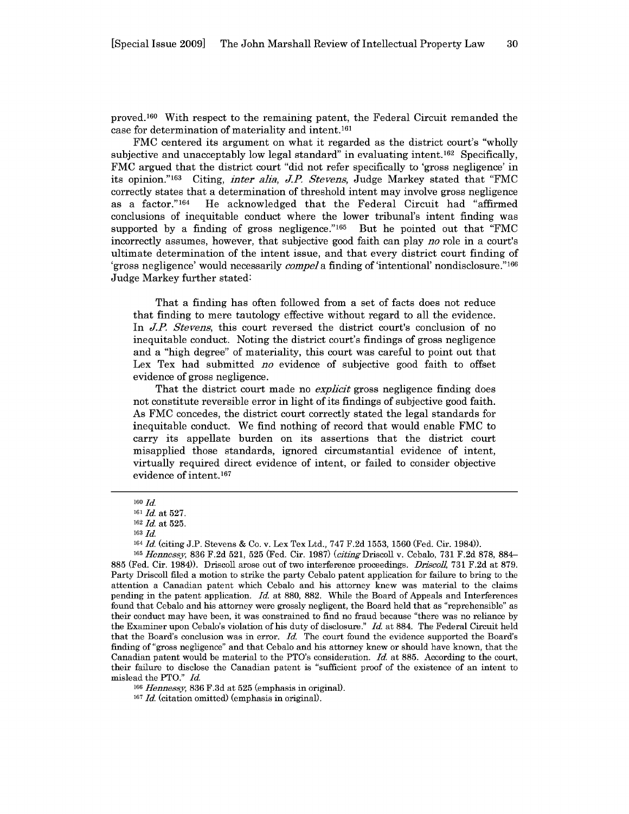proved. 160 With respect to the remaining patent, the Federal Circuit remanded the case for determination of materiality and intent.161

FMC centered its argument on what it regarded as the district court's "wholly subjective and unacceptably low legal standard" in evaluating intent.<sup>162</sup> Specifically, FMC argued that the district court "did not refer specifically to 'gross negligence' in its opinion." 163 Citing, *inter alia, J.P Stevens,* Judge Markey stated that "FMC correctly states that a determination of threshold intent may involve gross negligence<br>as a factor."<sup>164</sup> He acknowledged that the Federal Circuit had "affirmed He acknowledged that the Federal Circuit had "affirmed conclusions of inequitable conduct where the lower tribunal's intent finding was supported by a finding of gross negligence." $165$  But he pointed out that "FMC incorrectly assumes, however, that subjective good faith can play *no* role in a court's ultimate determination of the intent issue, and that every district court finding of 'gross negligence' would necessarily *compel a* finding of 'intentional' nondisclosure."'166 Judge Markey further stated:

That a finding has often followed from a set of facts does not reduce that finding to mere tautology effective without regard to all the evidence. In *J.P Stevens,* this court reversed the district court's conclusion of no inequitable conduct. Noting the district court's findings of gross negligence and a "high degree" of materiality, this court was careful to point out that Lex Tex had submitted *no* evidence of subjective good faith to offset evidence of gross negligence.

That the district court made no *explicit* gross negligence finding does not constitute reversible error in light of its findings of subjective good faith. As FMC concedes, the district court correctly stated the legal standards for inequitable conduct. We find nothing of record that would enable FMC to carry its appellate burden on its assertions that the district court misapplied those standards, ignored circumstantial evidence of intent, virtually required direct evidence of intent, or failed to consider objective evidence of intent. <sup>167</sup>

**<sup>160</sup>***Id.*

<sup>161</sup>*Id.* at 527.

<sup>162</sup>*Id.* at 525.

<sup>163</sup>*Id.*

<sup>164</sup>*Id.* (citing J.P. Stevens & Co. v. Lex Tex Ltd., 747 F.2d 1553, 1560 (Fed. Cir. 1984)).

<sup>165</sup>*Hennessy,* 836 F.2d 521, 525 (Fed. Cir. 1987) *(citingDriscoll* v. Cebalo, 731 F.2d 878, 884- 885 (Fed. Cir. 1984)). Driscoll arose out of two interference proceedings. *Driscoll,* 731 F.2d at 879. Party Driscoll filed a motion to strike the party Cebalo patent application for failure to bring to the attention a Canadian patent which Cebalo and his attorney knew was material to the claims pending in the patent application. *Id.* at 880, 882. While the Board of Appeals and Interferences found that Cebalo and his attorney were grossly negligent, the Board held that as "reprehensible" as their conduct may have been, it was constrained to find no fraud because "there was no reliance by the Examiner upon Cebalo's violation of his duty of disclosure." *Id.* at 884. The Federal Circuit held that the Board's conclusion was in error. *Id.* The court found the evidence supported the Board's finding of "gross negligence" and that Cebalo and his attorney knew or should have known, that the Canadian patent would be material to the PTO's consideration. *Id.* at 885. According to the court, their failure to disclose the Canadian patent is "sufficient proof of the existence of an intent to mislead the PTO." *Id.*

<sup>166</sup>*Hennessy,* 836 F.3d at 525 (emphasis in original).

<sup>167</sup> *Id.* (citation omitted) (emphasis in original).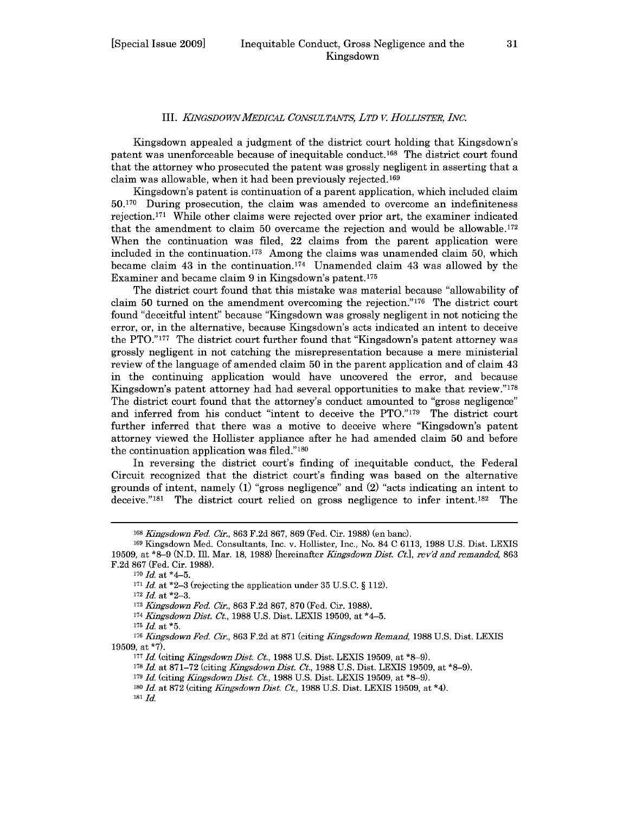#### III. *KINGSDOwVMEDICAL CONSULTANTS, LTD V. HOLLISTER, INC.*

Kingsdown appealed a judgment of the district court holding that Kingsdown's patent was unenforceable because of inequitable conduct. 168 The district court found that the attorney who prosecuted the patent was grossly negligent in asserting that a claim was allowable, when it had been previously rejected. <sup>169</sup>

Kingsdown's patent is continuation of a parent application, which included claim 50.170 During prosecution, the claim was amended to overcome an indefiniteness rejection. 171 While other claims were rejected over prior art, the examiner indicated that the amendment to claim 50 overcame the rejection and would be allowable. <sup>172</sup> When the continuation was filed, 22 claims from the parent application were included in the continuation.<sup>173</sup> Among the claims was unamended claim 50, which became claim 43 in the continuation.<sup>174</sup> Unamended claim 43 was allowed by the Examiner and became claim 9 in Kingsdown's patent.175

The district court found that this mistake was material because "allowability of claim 50 turned on the amendment overcoming the rejection."176 The district court found "deceitful intent" because "Kingsdown was grossly negligent in not noticing the error, or, in the alternative, because Kingsdown's acts indicated an intent to deceive the PTO."177 The district court further found that "Kingsdown's patent attorney was grossly negligent in not catching the misrepresentation because a mere ministerial review of the language of amended claim 50 in the parent application and of claim 43 in the continuing application would have uncovered the error, and because Kingsdown's patent attorney had had several opportunities to make that review."'178 The district court found that the attorney's conduct amounted to "gross negligence" and inferred from his conduct "intent to deceive the PTO."179 The district court further inferred that there was a motive to deceive where "Kingsdown's patent attorney viewed the Hollister appliance after he had amended claim 50 and before the continuation application was filed."180

In reversing the district court's finding of inequitable conduct, the Federal Circuit recognized that the district court's finding was based on the alternative grounds of intent, namely (1) "gross negligence" and (2) "acts indicating an intent to deceive."<sup>181</sup> The district court relied on gross negligence to infer intent.<sup>182</sup> The

<sup>172</sup>*Id.* at \*2-3.

<sup>174</sup>*Kiangsdown Dist. Ct,* 1988 U.S. Dist. LEXIS 19509, at \*4-5.

<sup>175</sup>*Id.* at **\*5.**

<sup>178</sup>*Id.* at 871-72 (citing *Kingsdown Dist. Ct,* 1988 U.S. Dist. LEXIS 19509, at \*8-9).

<sup>168</sup>*Kingsdown Fed. Cir.,* 863 F.2d 867, 869 (Fed. Cir. 1988) (en banc).

<sup>169</sup> Kingsdown Med. Consultants, Inc. v. Hollister, Inc., No. 84 C 6113, 1988 U.S. Dist. LEXIS 19509, at **\*8-9** (N.D. Ill. Mar. 18, 1988) [hereinafter *Kingsdown Dist. Ct.], rev'd and remanded,* 863 F.2d 867 (Fed. Cir. 1988).

**<sup>170</sup>***Id.* at \*4-5.

<sup>171</sup>*Id.* at \*2-3 (rejecting the application under 35 U.S.C. § 112).

<sup>178</sup>*Kiangsdown Fed. Cir.,* 863 F.2d 867, 870 (Fed. Cir. 1988).

<sup>&</sup>lt;sup>176</sup> Kingsdown Fed. Cir., 863 F.2d at 871 (citing Kingsdown Remand, 1988 U.S. Dist. LEXIS 19509, at \*7).

<sup>177</sup> *Id.* (citing *Kingsdown Dist. Ct.*, 1988 U.S. Dist. LEXIS 19509, at \*8–9).

<sup>&</sup>lt;sup>179</sup> Id. (citing *Kingsdown Dist. Ct.*, 1988 U.S. Dist. LEXIS 19509, at \*8-9).

*<sup>180</sup>Id.* at 872 (citing *Kiangsdown Dist. Ct.,* 1988 U.S. Dist. LEXIS 19509, at \*4). 181 *Id.*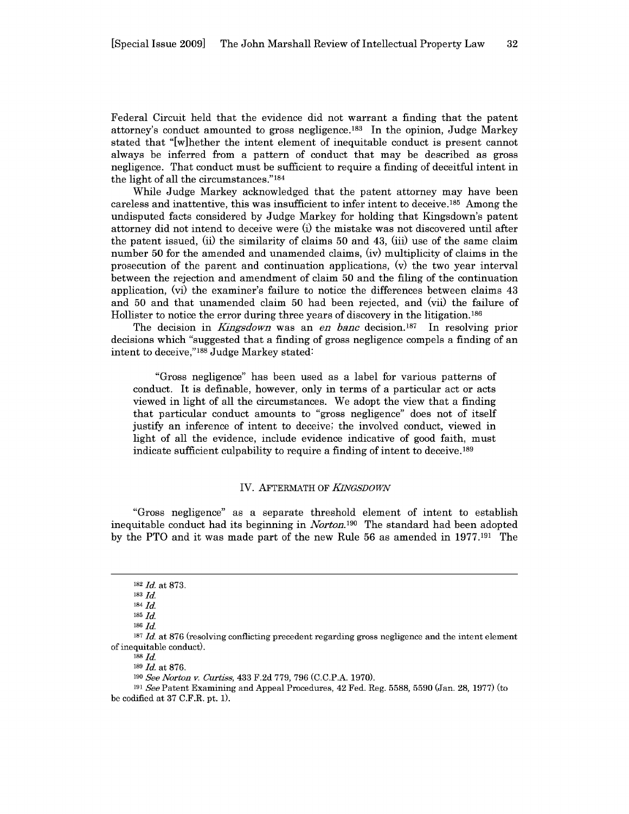Federal Circuit held that the evidence did not warrant a finding that the patent attorney's conduct amounted to gross negligence.<sup>183</sup> In the opinion, Judge Markey stated that "[w]hether the intent element of inequitable conduct is present cannot always be inferred from a pattern of conduct that may be described as gross negligence. That conduct must be sufficient to require a finding of deceitful intent in the light of all the circumstances." $184$ 

While Judge Markey acknowledged that the patent attorney may have been careless and inattentive, this was insufficient to infer intent to deceive.<sup>185</sup> Among the undisputed facts considered by Judge Markey for holding that Kingsdown's patent attorney did not intend to deceive were (i) the mistake was not discovered until after the patent issued, (ii) the similarity of claims 50 and 43, (iii) use of the same claim number 50 for the amended and unamended claims, (iv) multiplicity of claims in the prosecution of the parent and continuation applications, (v) the two year interval between the rejection and amendment of claim 50 and the filing of the continuation application, (vi) the examiner's failure to notice the differences between claims 43 and 50 and that unamended claim 50 had been rejected, and (vii) the failure of Hollister to notice the error during three years of discovery in the litigation.<sup>186</sup>

The decision in *Kingsdown* was an *en banc* decision.<sup>187</sup> In resolving prior decisions which "suggested that a finding of gross negligence compels a finding of an intent to deceive,"188 Judge Markey stated:

"Gross negligence" has been used as a label for various patterns of conduct. It is definable, however, only in terms of a particular act or acts viewed in light of all the circumstances. We adopt the view that a finding that particular conduct amounts to "gross negligence" does not of itself justify an inference of intent to deceive; the involved conduct, viewed in light of all the evidence, include evidence indicative of good faith, must indicate sufficient culpability to require a finding of intent to deceive.<sup>189</sup>

#### IV. AFTERMATH OF *KNGSDOWN*

"Gross negligence" as a separate threshold element of intent to establish inequitable conduct had its beginning in *Norton.190* The standard had been adopted by the PTO and it was made part of the new Rule 56 as amended in 1977.191 The

<sup>182</sup>*Id.* at 873.

<sup>183</sup>*Id.*

*<sup>184</sup>Id.*

<sup>185</sup>*Id.*

<sup>186</sup>*Id.*

<sup>&</sup>lt;sup>187</sup> *Id.* at 876 (resolving conflicting precedent regarding gross negligence and the intent element of inequitable conduct).

<sup>188</sup> *Id.*

<sup>189</sup> *Id.* at 876.

*<sup>190</sup>See Norton v. Curtiss,* 433 F.2d 779, 796 (C.C.P.A. 1970).

<sup>191</sup> *See* Patent Examining and Appeal Procedures, 42 Fed. Reg. 5588, 5590 (Jan. 28, 1977) (to be codified at 37 C.F.R. pt. 1).